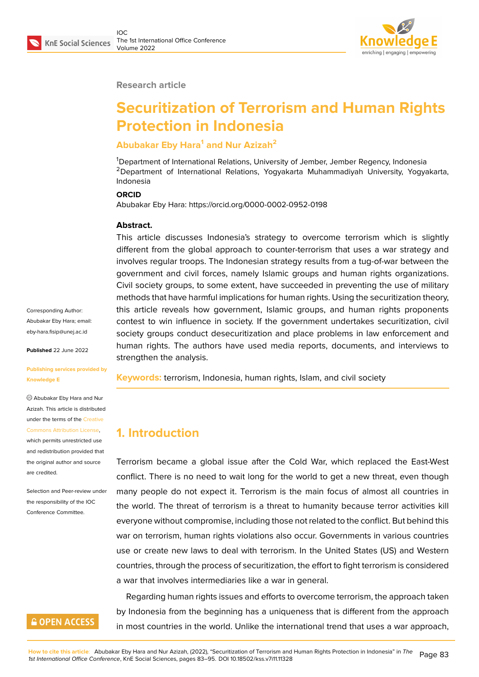#### **Research article**

# **Securitization of Terrorism and Human Rights Protection in Indonesia**

# **Abubakar Eby Hara<sup>1</sup> and Nur Azizah<sup>2</sup>**

<sup>1</sup>Department of International Relations, University of Jember, Jember Regency, Indonesia <sup>2</sup>Department of International Relations, Yogyakarta Muhammadiyah University, Yogyakarta, Indonesia

#### **ORCID**

Abubakar Eby Hara: https://orcid.org/0000-0002-0952-0198

#### **Abstract.**

This article discusses Indonesia's strategy to overcome terrorism which is slightly different from the global approach to counter-terrorism that uses a war strategy and involves regular troops. The Indonesian strategy results from a tug-of-war between the government and civil forces, namely Islamic groups and human rights organizations. Civil society groups, to some extent, have succeeded in preventing the use of military methods that have harmful implications for human rights. Using the securitization theory, this article reveals how government, Islamic groups, and human rights proponents contest to win influence in society. If the government undertakes securitization, civil society groups conduct desecuritization and place problems in law enforcement and human rights. The authors have used media reports, documents, and interviews to strengthen the analysis.

**Keywords:** terrorism, Indonesia, human rights, Islam, and civil society

### **1. Introduction**

Terrorism became a global issue after the Cold War, which replaced the East-West conflict. There is no need to wait long for the world to get a new threat, even though many people do not expect it. Terrorism is the main focus of almost all countries in the world. The threat of terrorism is a threat to humanity because terror activities kill everyone without compromise, including those not related to the conflict. But behind this war on terrorism, human rights violations also occur. Governments in various countries use or create new laws to deal with terrorism. In the United States (US) and Western countries, through the process of securitization, the effort to fight terrorism is considered a war that involves intermediaries like a war in general.

Regarding human rights issues and efforts to overcome terrorism, the approach taken by Indonesia from the beginning has a uniqueness that is different from the approach in most countries in the world. Unlike the international trend that uses a war approach,

Corresponding Author: Abubakar Eby Hara; email: eby-hara.fisip@unej.ac.id

**Published** 22 June 2022

#### **[Publishing services prov](mailto:eby-hara.fisip@unej.ac.id)ided by Knowledge E**

Abubakar Eby Hara and Nur Azizah. This article is distributed under the terms of the Creative Commons Attribution License,

which permits unrestricted use and redistribution provided that the original author and [source](https://creativecommons.org/licenses/by/4.0/) [are credited.](https://creativecommons.org/licenses/by/4.0/)

Selection and Peer-review under the responsibility of the IOC Conference Committee.

## **GOPEN ACCESS**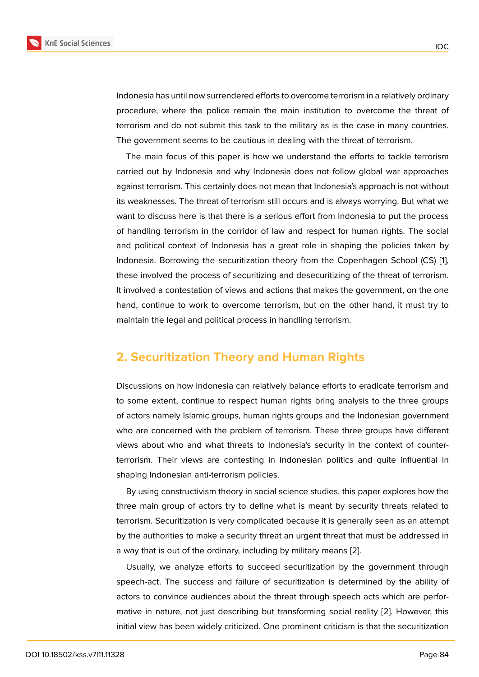Indonesia has until now surrendered efforts to overcome terrorism in a relatively ordinary procedure, where the police remain the main institution to overcome the threat of terrorism and do not submit this task to the military as is the case in many countries. The government seems to be cautious in dealing with the threat of terrorism.

The main focus of this paper is how we understand the efforts to tackle terrorism carried out by Indonesia and why Indonesia does not follow global war approaches against terrorism. This certainly does not mean that Indonesia's approach is not without its weaknesses. The threat of terrorism still occurs and is always worrying. But what we want to discuss here is that there is a serious effort from Indonesia to put the process of handling terrorism in the corridor of law and respect for human rights. The social and political context of Indonesia has a great role in shaping the policies taken by Indonesia. Borrowing the securitization theory from the Copenhagen School (CS) [1], these involved the process of securitizing and desecuritizing of the threat of terrorism. It involved a contestation of views and actions that makes the government, on the one hand, continue to work to overcome terrorism, but on the other hand, it must try [to](#page-10-0) maintain the legal and political process in handling terrorism.

### **2. Securitization Theory and Human Rights**

Discussions on how Indonesia can relatively balance efforts to eradicate terrorism and to some extent, continue to respect human rights bring analysis to the three groups of actors namely Islamic groups, human rights groups and the Indonesian government who are concerned with the problem of terrorism. These three groups have different views about who and what threats to Indonesia's security in the context of counterterrorism. Their views are contesting in Indonesian politics and quite influential in shaping Indonesian anti-terrorism policies.

By using constructivism theory in social science studies, this paper explores how the three main group of actors try to define what is meant by security threats related to terrorism. Securitization is very complicated because it is generally seen as an attempt by the authorities to make a security threat an urgent threat that must be addressed in a way that is out of the ordinary, including by military means [2].

Usually, we analyze efforts to succeed securitization by the government through speech-act. The success and failure of securitization is determined by the ability of actors to convince audiences about the threat through spee[ch](#page-10-1) acts which are performative in nature, not just describing but transforming social reality [2]. However, this initial view has been widely criticized. One prominent criticism is that the securitization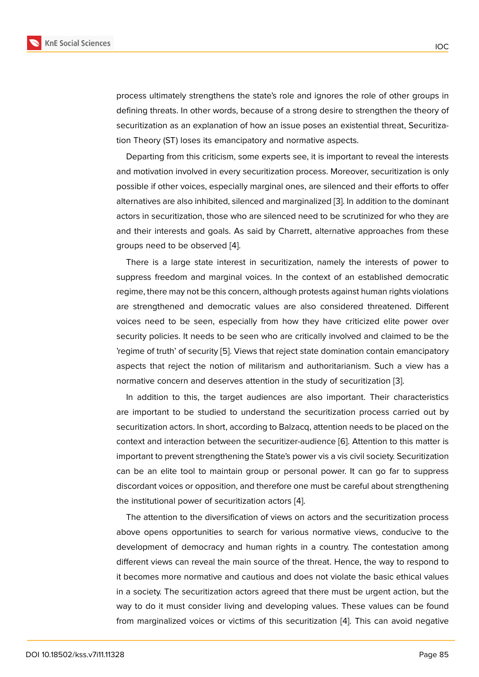process ultimately strengthens the state's role and ignores the role of other groups in defining threats. In other words, because of a strong desire to strengthen the theory of securitization as an explanation of how an issue poses an existential threat, Securitization Theory (ST) loses its emancipatory and normative aspects.

Departing from this criticism, some experts see, it is important to reveal the interests and motivation involved in every securitization process. Moreover, securitization is only possible if other voices, especially marginal ones, are silenced and their efforts to offer alternatives are also inhibited, silenced and marginalized [3]. In addition to the dominant actors in securitization, those who are silenced need to be scrutinized for who they are and their interests and goals. As said by Charrett, alternative approaches from these groups need to be observed [4].

There is a large state interest in securitization, namely the interests of power to suppress freedom and marginal voices. In the context of an established democratic regime, there may not be this [co](#page-10-2)ncern, although protests against human rights violations are strengthened and democratic values are also considered threatened. Different voices need to be seen, especially from how they have criticized elite power over security policies. It needs to be seen who are critically involved and claimed to be the 'regime of truth' of security [5]. Views that reject state domination contain emancipatory aspects that reject the notion of militarism and authoritarianism. Such a view has a normative concern and deserves attention in the study of securitization [3].

In addition to this, the t[ar](#page-11-0)get audiences are also important. Their characteristics are important to be studied to understand the securitization process carried out by securitization actors. In short, according to Balzacq, attention needs to be [p](#page-10-3)laced on the context and interaction between the securitizer-audience [6]. Attention to this matter is important to prevent strengthening the State's power vis a vis civil society. Securitization can be an elite tool to maintain group or personal power. It can go far to suppress discordant voices or opposition, and therefore one must b[e c](#page-11-1)areful about strengthening the institutional power of securitization actors [4].

The attention to the diversification of views on actors and the securitization process above opens opportunities to search for various normative views, conducive to the development of democracy and human right[s i](#page-10-2)n a country. The contestation among different views can reveal the main source of the threat. Hence, the way to respond to it becomes more normative and cautious and does not violate the basic ethical values in a society. The securitization actors agreed that there must be urgent action, but the way to do it must consider living and developing values. These values can be found from marginalized voices or victims of this securitization [4]. This can avoid negative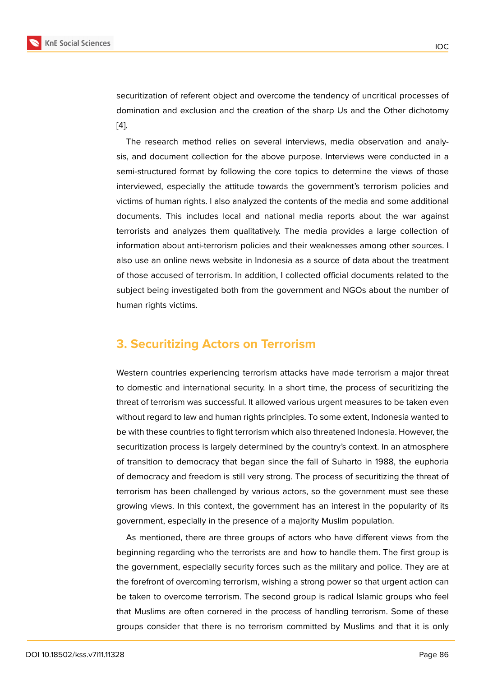securitization of referent object and overcome the tendency of uncritical processes of domination and exclusion and the creation of the sharp Us and the Other dichotomy [4].

The research method relies on several interviews, media observation and analysis, and document collection for the above purpose. Interviews were conducted in a [se](#page-10-2)mi-structured format by following the core topics to determine the views of those interviewed, especially the attitude towards the government's terrorism policies and victims of human rights. I also analyzed the contents of the media and some additional documents. This includes local and national media reports about the war against terrorists and analyzes them qualitatively. The media provides a large collection of information about anti-terrorism policies and their weaknesses among other sources. I also use an online news website in Indonesia as a source of data about the treatment of those accused of terrorism. In addition, I collected official documents related to the subject being investigated both from the government and NGOs about the number of human rights victims.

### **3. Securitizing Actors on Terrorism**

Western countries experiencing terrorism attacks have made terrorism a major threat to domestic and international security. In a short time, the process of securitizing the threat of terrorism was successful. It allowed various urgent measures to be taken even without regard to law and human rights principles. To some extent, Indonesia wanted to be with these countries to fight terrorism which also threatened Indonesia. However, the securitization process is largely determined by the country's context. In an atmosphere of transition to democracy that began since the fall of Suharto in 1988, the euphoria of democracy and freedom is still very strong. The process of securitizing the threat of terrorism has been challenged by various actors, so the government must see these growing views. In this context, the government has an interest in the popularity of its government, especially in the presence of a majority Muslim population.

As mentioned, there are three groups of actors who have different views from the beginning regarding who the terrorists are and how to handle them. The first group is the government, especially security forces such as the military and police. They are at the forefront of overcoming terrorism, wishing a strong power so that urgent action can be taken to overcome terrorism. The second group is radical Islamic groups who feel that Muslims are often cornered in the process of handling terrorism. Some of these groups consider that there is no terrorism committed by Muslims and that it is only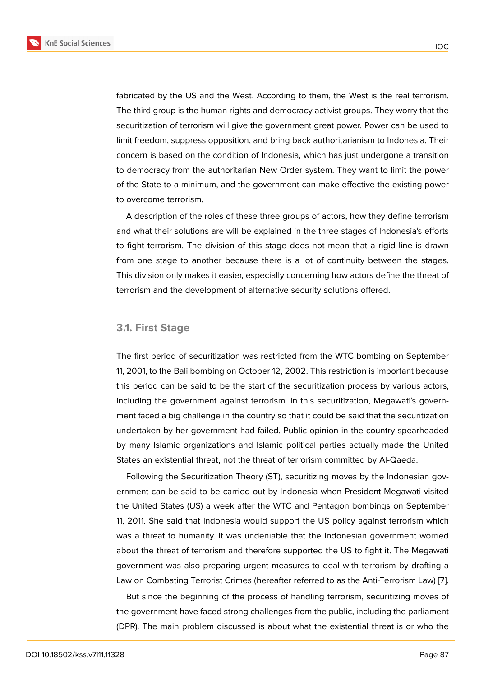fabricated by the US and the West. According to them, the West is the real terrorism. The third group is the human rights and democracy activist groups. They worry that the securitization of terrorism will give the government great power. Power can be used to limit freedom, suppress opposition, and bring back authoritarianism to Indonesia. Their concern is based on the condition of Indonesia, which has just undergone a transition to democracy from the authoritarian New Order system. They want to limit the power of the State to a minimum, and the government can make effective the existing power to overcome terrorism.

A description of the roles of these three groups of actors, how they define terrorism and what their solutions are will be explained in the three stages of Indonesia's efforts to fight terrorism. The division of this stage does not mean that a rigid line is drawn from one stage to another because there is a lot of continuity between the stages. This division only makes it easier, especially concerning how actors define the threat of terrorism and the development of alternative security solutions offered.

#### **3.1. First Stage**

The first period of securitization was restricted from the WTC bombing on September 11, 2001, to the Bali bombing on October 12, 2002. This restriction is important because this period can be said to be the start of the securitization process by various actors, including the government against terrorism. In this securitization, Megawati's government faced a big challenge in the country so that it could be said that the securitization undertaken by her government had failed. Public opinion in the country spearheaded by many Islamic organizations and Islamic political parties actually made the United States an existential threat, not the threat of terrorism committed by Al-Qaeda.

Following the Securitization Theory (ST), securitizing moves by the Indonesian government can be said to be carried out by Indonesia when President Megawati visited the United States (US) a week after the WTC and Pentagon bombings on September 11, 2011. She said that Indonesia would support the US policy against terrorism which was a threat to humanity. It was undeniable that the Indonesian government worried about the threat of terrorism and therefore supported the US to fight it. The Megawati government was also preparing urgent measures to deal with terrorism by drafting a Law on Combating Terrorist Crimes (hereafter referred to as the Anti-Terrorism Law) [7].

But since the beginning of the process of handling terrorism, securitizing moves of the government have faced strong challenges from the public, including the parliament (DPR). The main problem discussed is about what the existential threat is or who t[he](#page-11-2)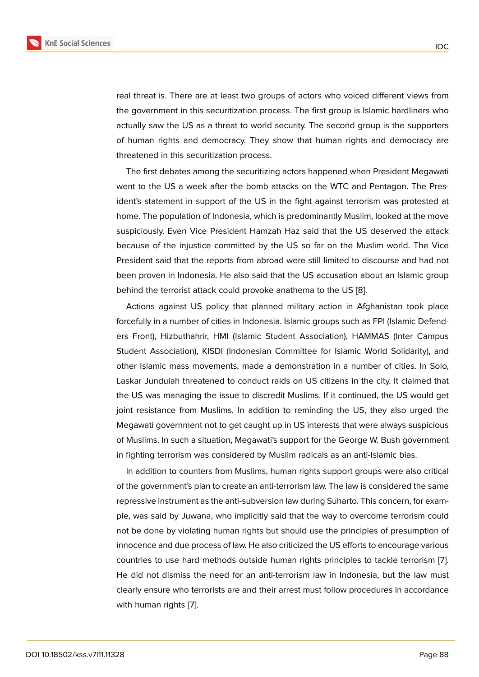real threat is. There are at least two groups of actors who voiced different views from the government in this securitization process. The first group is Islamic hardliners who actually saw the US as a threat to world security. The second group is the supporters of human rights and democracy. They show that human rights and democracy are threatened in this securitization process.

The first debates among the securitizing actors happened when President Megawati went to the US a week after the bomb attacks on the WTC and Pentagon. The President's statement in support of the US in the fight against terrorism was protested at home. The population of Indonesia, which is predominantly Muslim, looked at the move suspiciously. Even Vice President Hamzah Haz said that the US deserved the attack because of the injustice committed by the US so far on the Muslim world. The Vice President said that the reports from abroad were still limited to discourse and had not been proven in Indonesia. He also said that the US accusation about an Islamic group behind the terrorist attack could provoke anathema to the US [8].

Actions against US policy that planned military action in Afghanistan took place forcefully in a number of cities in Indonesia. Islamic groups such as FPI (Islamic Defenders Front), Hizbuthahrir, HMI (Islamic Student Association), [HA](#page-11-3)MMAS (Inter Campus Student Association), KISDI (Indonesian Committee for Islamic World Solidarity), and other Islamic mass movements, made a demonstration in a number of cities. In Solo, Laskar Jundulah threatened to conduct raids on US citizens in the city. It claimed that the US was managing the issue to discredit Muslims. If it continued, the US would get joint resistance from Muslims. In addition to reminding the US, they also urged the Megawati government not to get caught up in US interests that were always suspicious of Muslims. In such a situation, Megawati's support for the George W. Bush government in fighting terrorism was considered by Muslim radicals as an anti-Islamic bias.

In addition to counters from Muslims, human rights support groups were also critical of the government's plan to create an anti-terrorism law. The law is considered the same repressive instrument as the anti-subversion law during Suharto. This concern, for example, was said by Juwana, who implicitly said that the way to overcome terrorism could not be done by violating human rights but should use the principles of presumption of innocence and due process of law. He also criticized the US efforts to encourage various countries to use hard methods outside human rights principles to tackle terrorism [7]. He did not dismiss the need for an anti-terrorism law in Indonesia, but the law must clearly ensure who terrorists are and their arrest must follow procedures in accordance with human rights [7].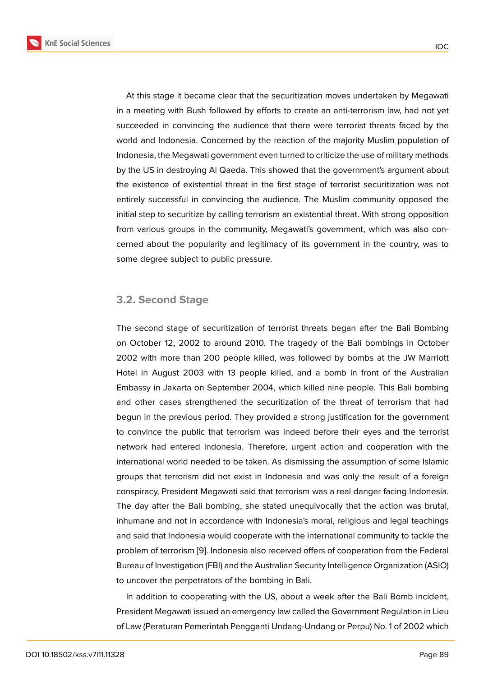At this stage it became clear that the securitization moves undertaken by Megawati in a meeting with Bush followed by efforts to create an anti-terrorism law, had not yet succeeded in convincing the audience that there were terrorist threats faced by the world and Indonesia. Concerned by the reaction of the majority Muslim population of Indonesia, the Megawati government even turned to criticize the use of military methods by the US in destroying Al Qaeda. This showed that the government's argument about the existence of existential threat in the first stage of terrorist securitization was not entirely successful in convincing the audience. The Muslim community opposed the initial step to securitize by calling terrorism an existential threat. With strong opposition from various groups in the community, Megawati's government, which was also concerned about the popularity and legitimacy of its government in the country, was to some degree subject to public pressure.

#### **3.2. Second Stage**

The second stage of securitization of terrorist threats began after the Bali Bombing on October 12, 2002 to around 2010. The tragedy of the Bali bombings in October 2002 with more than 200 people killed, was followed by bombs at the JW Marriott Hotel in August 2003 with 13 people killed, and a bomb in front of the Australian Embassy in Jakarta on September 2004, which killed nine people. This Bali bombing and other cases strengthened the securitization of the threat of terrorism that had begun in the previous period. They provided a strong justification for the government to convince the public that terrorism was indeed before their eyes and the terrorist network had entered Indonesia. Therefore, urgent action and cooperation with the international world needed to be taken. As dismissing the assumption of some Islamic groups that terrorism did not exist in Indonesia and was only the result of a foreign conspiracy, President Megawati said that terrorism was a real danger facing Indonesia. The day after the Bali bombing, she stated unequivocally that the action was brutal, inhumane and not in accordance with Indonesia's moral, religious and legal teachings and said that Indonesia would cooperate with the international community to tackle the problem of terrorism [9]. Indonesia also received offers of cooperation from the Federal Bureau of Investigation (FBI) and the Australian Security Intelligence Organization (ASIO) to uncover the perpetrators of the bombing in Bali.

In addition to coo[pe](#page-11-4)rating with the US, about a week after the Bali Bomb incident, President Megawati issued an emergency law called the Government Regulation in Lieu of Law (Peraturan Pemerintah Pengganti Undang-Undang or Perpu) No. 1 of 2002 which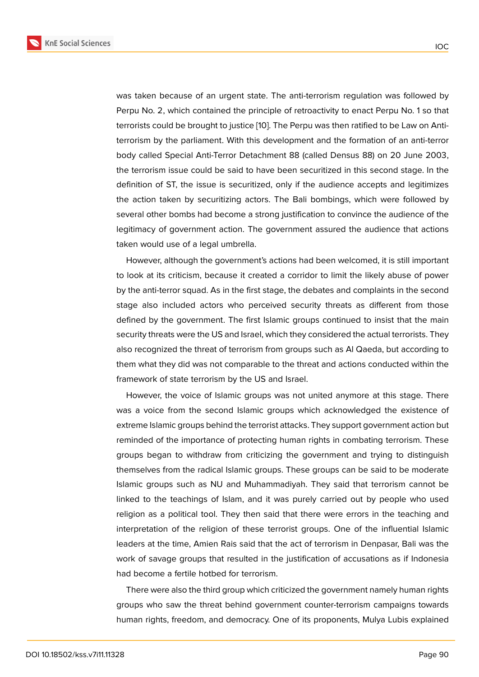was taken because of an urgent state. The anti-terrorism regulation was followed by Perpu No. 2, which contained the principle of retroactivity to enact Perpu No. 1 so that terrorists could be brought to justice [10]. The Perpu was then ratified to be Law on Antiterrorism by the parliament. With this development and the formation of an anti-terror body called Special Anti-Terror Detachment 88 (called Densus 88) on 20 June 2003, the terrorism issue could be said to [hav](#page-11-5)e been securitized in this second stage. In the definition of ST, the issue is securitized, only if the audience accepts and legitimizes the action taken by securitizing actors. The Bali bombings, which were followed by several other bombs had become a strong justification to convince the audience of the legitimacy of government action. The government assured the audience that actions taken would use of a legal umbrella.

However, although the government's actions had been welcomed, it is still important to look at its criticism, because it created a corridor to limit the likely abuse of power by the anti-terror squad. As in the first stage, the debates and complaints in the second stage also included actors who perceived security threats as different from those defined by the government. The first Islamic groups continued to insist that the main security threats were the US and Israel, which they considered the actual terrorists. They also recognized the threat of terrorism from groups such as Al Qaeda, but according to them what they did was not comparable to the threat and actions conducted within the framework of state terrorism by the US and Israel.

However, the voice of Islamic groups was not united anymore at this stage. There was a voice from the second Islamic groups which acknowledged the existence of extreme Islamic groups behind the terrorist attacks. They support government action but reminded of the importance of protecting human rights in combating terrorism. These groups began to withdraw from criticizing the government and trying to distinguish themselves from the radical Islamic groups. These groups can be said to be moderate Islamic groups such as NU and Muhammadiyah. They said that terrorism cannot be linked to the teachings of Islam, and it was purely carried out by people who used religion as a political tool. They then said that there were errors in the teaching and interpretation of the religion of these terrorist groups. One of the influential Islamic leaders at the time, Amien Rais said that the act of terrorism in Denpasar, Bali was the work of savage groups that resulted in the justification of accusations as if Indonesia had become a fertile hotbed for terrorism.

There were also the third group which criticized the government namely human rights groups who saw the threat behind government counter-terrorism campaigns towards human rights, freedom, and democracy. One of its proponents, Mulya Lubis explained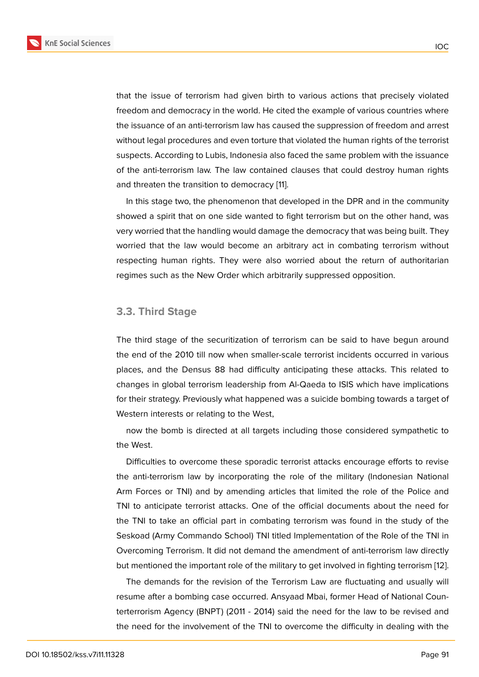that the issue of terrorism had given birth to various actions that precisely violated freedom and democracy in the world. He cited the example of various countries where the issuance of an anti-terrorism law has caused the suppression of freedom and arrest without legal procedures and even torture that violated the human rights of the terrorist suspects. According to Lubis, Indonesia also faced the same problem with the issuance of the anti-terrorism law. The law contained clauses that could destroy human rights and threaten the transition to democracy [11].

In this stage two, the phenomenon that developed in the DPR and in the community showed a spirit that on one side wanted to fight terrorism but on the other hand, was very worried that the handling would dam[ag](#page-11-6)e the democracy that was being built. They worried that the law would become an arbitrary act in combating terrorism without respecting human rights. They were also worried about the return of authoritarian regimes such as the New Order which arbitrarily suppressed opposition.

#### **3.3. Third Stage**

The third stage of the securitization of terrorism can be said to have begun around the end of the 2010 till now when smaller-scale terrorist incidents occurred in various places, and the Densus 88 had difficulty anticipating these attacks. This related to changes in global terrorism leadership from Al-Qaeda to ISIS which have implications for their strategy. Previously what happened was a suicide bombing towards a target of Western interests or relating to the West,

now the bomb is directed at all targets including those considered sympathetic to the West.

Difficulties to overcome these sporadic terrorist attacks encourage efforts to revise the anti-terrorism law by incorporating the role of the military (Indonesian National Arm Forces or TNI) and by amending articles that limited the role of the Police and TNI to anticipate terrorist attacks. One of the official documents about the need for the TNI to take an official part in combating terrorism was found in the study of the Seskoad (Army Commando School) TNI titled Implementation of the Role of the TNI in Overcoming Terrorism. It did not demand the amendment of anti-terrorism law directly but mentioned the important role of the military to get involved in fighting terrorism [12].

The demands for the revision of the Terrorism Law are fluctuating and usually will resume after a bombing case occurred. Ansyaad Mbai, former Head of National Counterterrorism Agency (BNPT) (2011 - 2014) said the need for the law to be revised [and](#page-11-7) the need for the involvement of the TNI to overcome the difficulty in dealing with the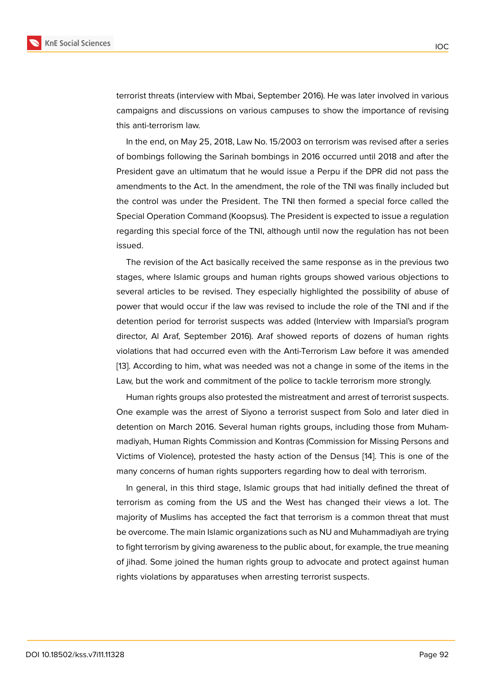In the end, on May 25, 2018, Law No. 15/2003 on terrorism was revised after a series of bombings following the Sarinah bombings in 2016 occurred until 2018 and after the President gave an ultimatum that he would issue a Perpu if the DPR did not pass the amendments to the Act. In the amendment, the role of the TNI was finally included but the control was under the President. The TNI then formed a special force called the Special Operation Command (Koopsus). The President is expected to issue a regulation regarding this special force of the TNI, although until now the regulation has not been issued.

The revision of the Act basically received the same response as in the previous two stages, where Islamic groups and human rights groups showed various objections to several articles to be revised. They especially highlighted the possibility of abuse of power that would occur if the law was revised to include the role of the TNI and if the detention period for terrorist suspects was added (Interview with Imparsial's program director, Al Araf, September 2016). Araf showed reports of dozens of human rights violations that had occurred even with the Anti-Terrorism Law before it was amended [13]. According to him, what was needed was not a change in some of the items in the Law, but the work and commitment of the police to tackle terrorism more strongly.

Human rights groups also protested the mistreatment and arrest of terrorist suspects. [On](#page-11-8)e example was the arrest of Siyono a terrorist suspect from Solo and later died in detention on March 2016. Several human rights groups, including those from Muhammadiyah, Human Rights Commission and Kontras (Commission for Missing Persons and Victims of Violence), protested the hasty action of the Densus [14]. This is one of the many concerns of human rights supporters regarding how to deal with terrorism.

In general, in this third stage, Islamic groups that had initially defined the threat of terrorism as coming from the US and the West has changed [the](#page-11-9)ir views a lot. The majority of Muslims has accepted the fact that terrorism is a common threat that must be overcome. The main Islamic organizations such as NU and Muhammadiyah are trying to fight terrorism by giving awareness to the public about, for example, the true meaning of jihad. Some joined the human rights group to advocate and protect against human rights violations by apparatuses when arresting terrorist suspects.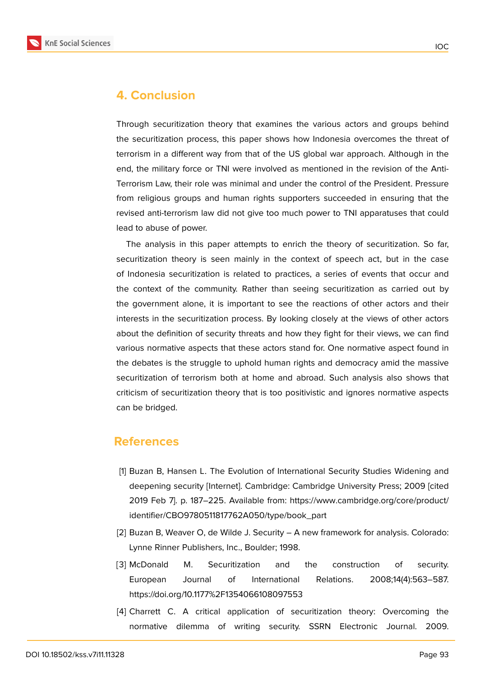### **4. Conclusion**

Through securitization theory that examines the various actors and groups behind the securitization process, this paper shows how Indonesia overcomes the threat of terrorism in a different way from that of the US global war approach. Although in the end, the military force or TNI were involved as mentioned in the revision of the Anti-Terrorism Law, their role was minimal and under the control of the President. Pressure from religious groups and human rights supporters succeeded in ensuring that the revised anti-terrorism law did not give too much power to TNI apparatuses that could lead to abuse of power.

The analysis in this paper attempts to enrich the theory of securitization. So far, securitization theory is seen mainly in the context of speech act, but in the case of Indonesia securitization is related to practices, a series of events that occur and the context of the community. Rather than seeing securitization as carried out by the government alone, it is important to see the reactions of other actors and their interests in the securitization process. By looking closely at the views of other actors about the definition of security threats and how they fight for their views, we can find various normative aspects that these actors stand for. One normative aspect found in the debates is the struggle to uphold human rights and democracy amid the massive securitization of terrorism both at home and abroad. Such analysis also shows that criticism of securitization theory that is too positivistic and ignores normative aspects can be bridged.

### **References**

- [1] Buzan B, Hansen L. The Evolution of International Security Studies Widening and deepening security [Internet]. Cambridge: Cambridge University Press; 2009 [cited 2019 Feb 7]. p. 187–225. Available from: https://www.cambridge.org/core/product/ identifier/CBO9780511817762A050/type/book\_part
- <span id="page-10-0"></span>[2] Buzan B, Weaver O, de Wilde J. Security [– A new framework for analysis. Colorado:](https://www.cambridge.org/core/product/identifier/CBO9780511817762A050/type/book_part) [Lynne Rinner Publishers, Inc., Boulder; 1998.](https://www.cambridge.org/core/product/identifier/CBO9780511817762A050/type/book_part)
- <span id="page-10-1"></span>[3] McDonald M. Securitization and the construction of security. European Journal of International Relations. 2008;14(4):563–587. https://doi.org/10.1177%2F1354066108097553
- <span id="page-10-3"></span><span id="page-10-2"></span>[4] Charrett C. A critical application of securitization theory: Overcoming the normative dilemma of writing security. SSRN Electronic Journal. 2009.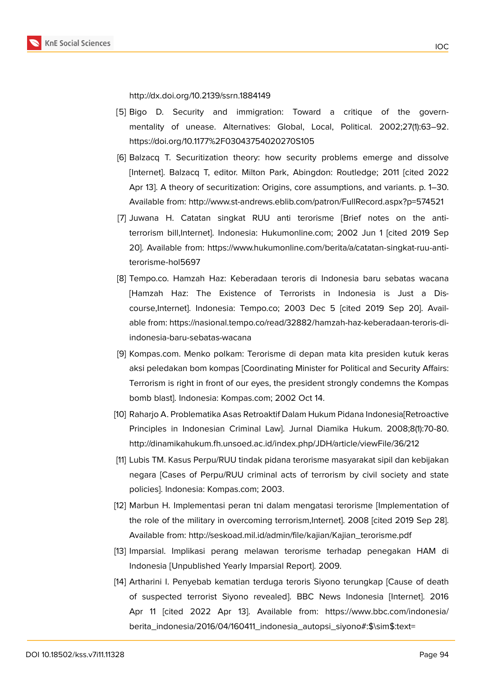http://dx.doi.org/10.2139/ssrn.1884149

- [5] Bigo D. Security and immigration: Toward a critique of the governmentality of unease. Alternatives: Global, Local, Political. 2002;27(1):63–92. https://doi.org/10.1177%2F03043754020270S105
- <span id="page-11-0"></span>[6] Balzacq T. Securitization theory: how security problems emerge and dissolve [Internet]. Balzacq T, editor. Milton Park, Abingdon: Routledge; 2011 [cited 2022 Apr 13]. A theory of securitization: Origins, core assumptions, and variants. p. 1–30. Available from: http://www.st-andrews.eblib.com/patron/FullRecord.aspx?p=574521
- <span id="page-11-1"></span>[7] Juwana H. Catatan singkat RUU anti terorisme [Brief notes on the antiterrorism bill,Internet]. Indonesia: Hukumonline.com; 2002 Jun 1 [cited 2019 Sep 20]. Available from: https://www.hukumonline.com/berita/a/catatan-singkat-ruu-antiterorisme-hol5697
- <span id="page-11-3"></span><span id="page-11-2"></span>[8] Tempo.co. Hamzah Haz: Keberadaan teroris di Indonesia baru sebatas wacana [Hamzah Haz: The Existence of Terrorists in Indonesia is Just a Discourse,Internet]. Indonesia: Tempo.co; 2003 Dec 5 [cited 2019 Sep 20]. Available from: https://nasional.tempo.co/read/32882/hamzah-haz-keberadaan-teroris-diindonesia-baru-sebatas-wacana
- [9] Kompas.com. Menko polkam: Terorisme di depan mata kita presiden kutuk keras aksi peledakan bom kompas [Coordinating Minister for Political and Security Affairs: Terrorism is right in front of our eyes, the president strongly condemns the Kompas bomb blast]. Indonesia: Kompas.com; 2002 Oct 14.
- <span id="page-11-4"></span>[10] Raharjo A. Problematika Asas Retroaktif Dalam Hukum Pidana Indonesia[Retroactive Principles in Indonesian Criminal Law]. Jurnal Diamika Hukum. 2008;8(1):70-80. http://dinamikahukum.fh.unsoed.ac.id/index.php/JDH/article/viewFile/36/212
- <span id="page-11-5"></span>[11] Lubis TM. Kasus Perpu/RUU tindak pidana terorisme masyarakat sipil dan kebijakan negara [Cases of Perpu/RUU criminal acts of terrorism by civil society and state policies]. Indonesia: Kompas.com; 2003.
- <span id="page-11-6"></span>[12] Marbun H. Implementasi peran tni dalam mengatasi terorisme [Implementation of the role of the military in overcoming terrorism,Internet]. 2008 [cited 2019 Sep 28]. Available from: http://seskoad.mil.id/admin/file/kajian/Kajian\_terorisme.pdf
- <span id="page-11-7"></span>[13] Imparsial. Implikasi perang melawan terorisme terhadap penegakan HAM di Indonesia [Unpublished Yearly Imparsial Report]. 2009.
- <span id="page-11-9"></span><span id="page-11-8"></span>[14] Artharini I. Penyebab kematian terduga teroris Siyono terungkap [Cause of death of suspected terrorist Siyono revealed]. BBC News Indonesia [Internet]. 2016 Apr 11 [cited 2022 Apr 13]. Available from: https://www.bbc.com/indonesia/ berita\_indonesia/2016/04/160411\_indonesia\_autopsi\_siyono#:\$\sim\$:text=